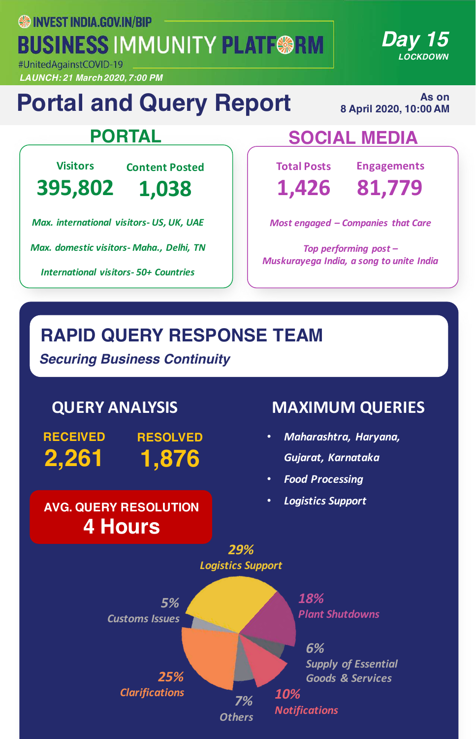**SS INVEST INDIA.GOV.IN/BIP BUSINESS IMMUNITY PLATF@RM** 

#UnitedAgainstCOVID-19 *LAUNCH: 21 March 2020, 7:00 PM*

## **Portal and Query Report**

**As on 8 April 2020, 10:00 AM** 

*Day 15*

*LOCKDOWN*

**Visitors**

**395,802**

**Content Posted 1,038**

*Max. international visitors- US, UK, UAE*

*Max. domestic visitors- Maha., Delhi, TN*

*International visitors- 50+ Countries*

## **PORTAL SOCIAL MEDIA**

**Total Posts 1,426**

**Engagements**

**81,779**

*Most engaged – Companies that Care* 

Top performing post -*Muskurayega India, a song to unite India*

## **RAPID QUERY RESPONSE TEAM**

*Securing Business Continuity*

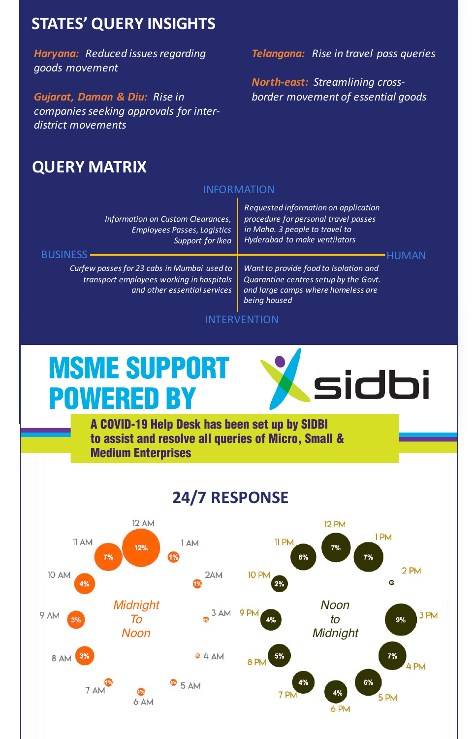#### **STATES' QUERY INSIGHTS**

**Haryana:** Reduced issues regarding *goods movement*

*Gujarat, Daman & Diu: Rise in* companies seeking approvals for inter*district movements*

#### **Telangana:** Rise in travel pass queries

*North-east: Streamlining crossborder movement of essential goods*

#### **QUERY MATRIX**

#### INFORMATION

| Information on Custom Clearances,<br><b>Employees Passes, Logistics</b><br>Support for Ikea<br><b>BUSINESS</b>          | Requested information on application<br>procedure for personal travel passes<br>in Maha. 3 people to travel to<br>Hyderabad to make ventilators |  |
|-------------------------------------------------------------------------------------------------------------------------|-------------------------------------------------------------------------------------------------------------------------------------------------|--|
|                                                                                                                         |                                                                                                                                                 |  |
| Curfew passes for 23 cabs in Mumbai used to<br>transport employees working in hospitals<br>and other essential services | Want to provide food to Isolation and<br>Quarantine centres setup by the Govt.<br>and large camps where homeless are<br>being housed            |  |

#### INTERVENTION

## MSME SUPPORT POWERED BY



#### **24/7 RESPONSE**

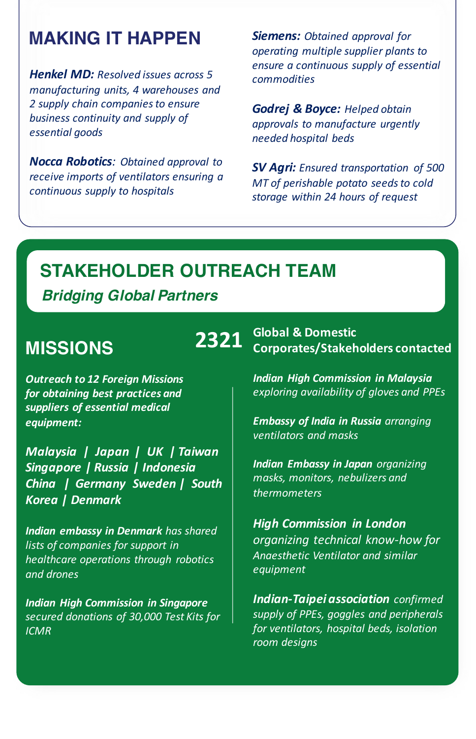#### **MAKING IT HAPPEN**

**Henkel MD:** Resolved issues across 5 *manufacturing units, 4 warehouses and*  2 supply chain companies to ensure business continuity and supply of *essential goods*

*Nocca Robotics: Obtained approval to receive imports of ventilators ensuring a continuous supply to hospitals*

**Siemens:** Obtained approval for *operating multiple supplier plants to ensure a continuous supply of essential commodities*

*Godrej & Boyce: Helped obtain approvals to manufacture urgently needed hospital beds*

*SV Agri: Ensured transportation of 500 MT* of perishable potato seeds to cold *storage within 24 hours of request*

#### **STAKEHOLDER OUTREACH TEAM**

#### *Bridging Global Partners*

#### **MISSIONS**

**Outreach to 12 Foreign Missions** for obtaining best practices and *suppliers of essential medical equipment:*

*Malaysia* | Japan | UK | Taiwan *Singapore | Russia | Indonesia China | Germany Sweden | South Korea | Denmark*

**Indian embassy in Denmark** has shared lists of companies for support in *healthcare operations through robotics and drones*

*Indian High Commission in Singapore secured donations of 30,000 Test Kits for ICMR*

**Allen Colopal & Domestic<br>
<b>2321** Corporates/Stakeholders contacted

*Indian High Commission in Malaysia exploring availability of gloves and PPEs*

*Embassy of India in Russia arranging ventilators and masks*

**Indian Embassy in Japan** organizing *masks, monitors, nebulizers and thermometers*

*High Commission in London organizing technical know-how for Anaesthetic Ventilator and similar equipment*

**Indian-Taipei association** confirmed supply of PPEs, goggles and peripherals *for ventilators, hospital beds, isolation room designs*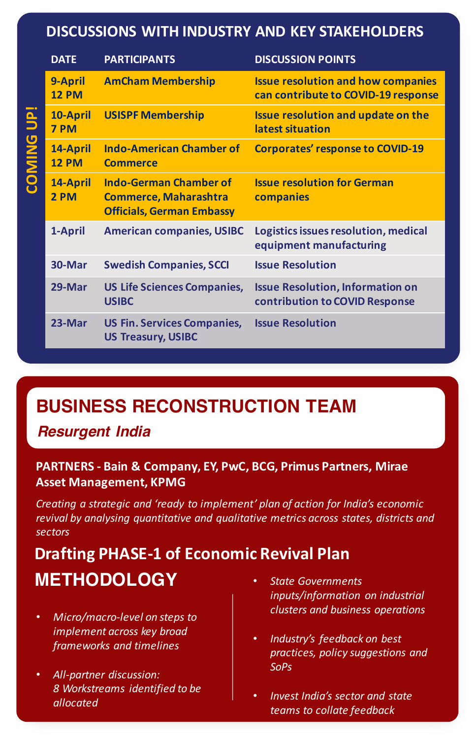#### **DISCUSSIONS WITH INDUSTRY AND KEY STAKEHOLDERS**

|                                                                                                             | <b>DATE</b>              | <b>PARTICIPANTS</b>                                                                               | <b>DISCUSSION POINTS</b>                                                         |  |
|-------------------------------------------------------------------------------------------------------------|--------------------------|---------------------------------------------------------------------------------------------------|----------------------------------------------------------------------------------|--|
| <b>COMING UP!</b>                                                                                           | 9-April<br><b>12 PM</b>  | <b>AmCham Membership</b>                                                                          | <b>Issue resolution and how companies</b><br>can contribute to COVID-19 response |  |
|                                                                                                             | 10-April<br>7 PM         | <b>USISPF Membership</b>                                                                          | <b>Issue resolution and update on the</b><br>latest situation                    |  |
|                                                                                                             | 14-April<br><b>12 PM</b> | <b>Indo-American Chamber of</b><br><b>Commerce</b>                                                | <b>Corporates' response to COVID-19</b>                                          |  |
|                                                                                                             | 14-April<br>2 PM         | <b>Indo-German Chamber of</b><br><b>Commerce, Maharashtra</b><br><b>Officials, German Embassy</b> | <b>Issue resolution for German</b><br>companies                                  |  |
|                                                                                                             | 1-April                  | <b>American companies, USIBC</b>                                                                  | Logistics issues resolution, medical<br>equipment manufacturing                  |  |
|                                                                                                             | 30-Mar                   | <b>Swedish Companies, SCCI</b>                                                                    | <b>Issue Resolution</b>                                                          |  |
|                                                                                                             | 29-Mar                   | <b>US Life Sciences Companies,</b><br><b>USIBC</b>                                                | <b>Issue Resolution, Information on</b><br>contribution to COVID Response        |  |
|                                                                                                             | 23-Mar                   | <b>US Fin. Services Companies,</b><br><b>US Treasury, USIBC</b>                                   | <b>Issue Resolution</b>                                                          |  |
|                                                                                                             |                          |                                                                                                   |                                                                                  |  |
|                                                                                                             |                          |                                                                                                   |                                                                                  |  |
| <b>BUSINESS RECONSTRUCTION TEAM</b><br><b>Resurgent India</b>                                               |                          |                                                                                                   |                                                                                  |  |
| <b>PARTNERS - Bain &amp; Company, EY, PwC, BCG, Primus Partners, Mirae</b><br><b>Asset Management, KPMG</b> |                          |                                                                                                   |                                                                                  |  |

### **BUSINESS RECONSTRUCTION TEAM**

## PARTNERS - Bain & Company, EY, PwC, BCG, Primus Partners, Mirae

*Creating a strategic and 'ready to implement' plan of action for India's economic revival by analysing quantitative and qualitative metrics across states, districts and sectors*

### **METHODOLOGY** • *State Governments* **Drafting PHASE-1 of Economic Revival Plan**

- **Micro/macro-level on steps to** *implement across key broad frameworks and timelines*
- *All-partner discussion: 8 Workstreams identified to be allocated*
- *inputs/information on industrial clusters and business operations*
- Industry's feedback on best *practices, policy suggestions and SoPs*
- *Invest India's sector and state teams to collate feedback*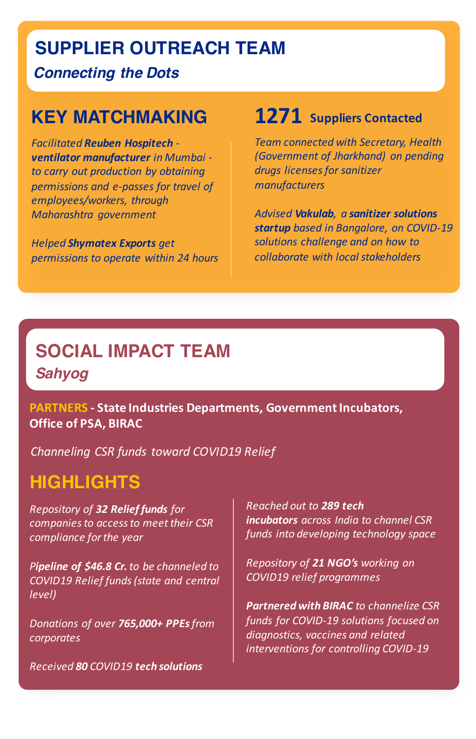#### **SUPPLIER OUTREACH TEAM**

*Connecting the Dots*

#### **KEY MATCHMAKING**

*Facilitated Reuben Hospitech ventilator manufacturer in Mumbai*  to carry out production by obtaining *permissions and e-passes for travel of* employees/workers, through *Maharashtra government*

*Helped Shymatex Exports get permissions to operate within 24 hours* 

## 1271 **Suppliers Contacted**

**Team connected with Secretary, Health** *(Government of Jharkhand) on pending drugs licenses for sanitizer manufacturers* 

*Advised Vakulab, a sanitizer solutions*  **startup** based in Bangalore, on COVID-19 solutions challenge and on how to *collaborate with local stakeholders* 

### *Sahyog: Social Impact Team* **SOCIAL IMPACT TEAM** *Sahyog*

**PARTNERS** - State Industries Departments, Government Incubators, **Office of PSA, BIRAC** 

*Channeling CSR funds toward COVID19 Relief*

#### **HIGHLIGHTS**

*Repository of 32 Relief funds for*  companies to access to meet their CSR *compliance for the year*

**Pipeline of \$46.8 Cr.** to be channeled to *COVID19 Relief funds (state and central level)*

*Donations of over 765,000+ PPEs from corporates*

*Received 80 COVID19 tech solutions*

*Reached out to 289 tech incubators across India* to *channel* CSR *funds into developing technology space*

*Repository of 21 NGO's working on COVID19 relief programmes*

**Partnered with BIRAC** to channelize CSR funds for COVID-19 solutions focused on diagnostics, vaccines and related interventions for controlling COVID-19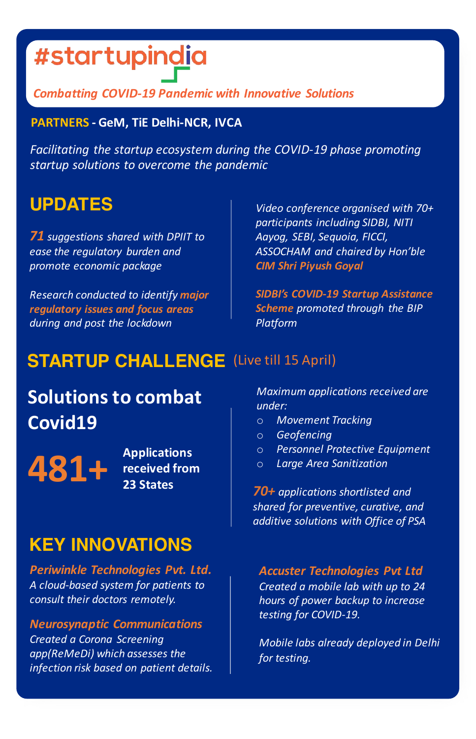## #startupindia

#### *Combatting COVID-19 Pandemic with Innovative Solutions*

#### **PARTNERS - GeM, TiE Delhi-NCR, IVCA**

Facilitating the startup ecosystem during the COVID-19 phase promoting *startup solutions to overcome the pandemic*

### **UPDATES**

**71** suggestions shared with DPIIT to *ease the regulatory burden and promote economic package*

*Research conducted to identify major regulatory issues and focus areas during and post the lockdown*

*Video conference organised with 70+ participants including SIDBI, NITI Aayog, SEBI, Sequoia, FICCI, ASSOCHAM and chaired by Hon'ble CIM Shri Piyush Goyal*

**SIDBI's COVID-19 Startup Assistance Scheme** promoted through the BIP *Platform*

### **STARTUP CHALLENGE** (Live till 15 April)

## **Solutions to combat Covid19**

Applications<br>**481+ Received from** 

**received** from **23 States**

### **KEY INNOVATIONS**

*Periwinkle Technologies Pvt. Ltd. A cloud-based system for patients to consult their doctors remotely.* 

*Neurosynaptic Communications Created a Corona Screening*  app(ReMeDi) which assesses the *infection risk based on patient details.*

*Maximum applications received are under:*

- o *Movement Tracking*
- o *Geofencing*
- o *Personnel Protective Equipment*
- o *Large Area Sanitization*

*70+ applications shortlisted and shared for preventive, curative, and additive solutions with Office of PSA*

#### *Accuster Technologies Pvt Ltd*

*Created a mobile lab with up to 24 hours of power backup to increase*  testing for COVID-19.

*Mobile labs already deployed in Delhi for testing.*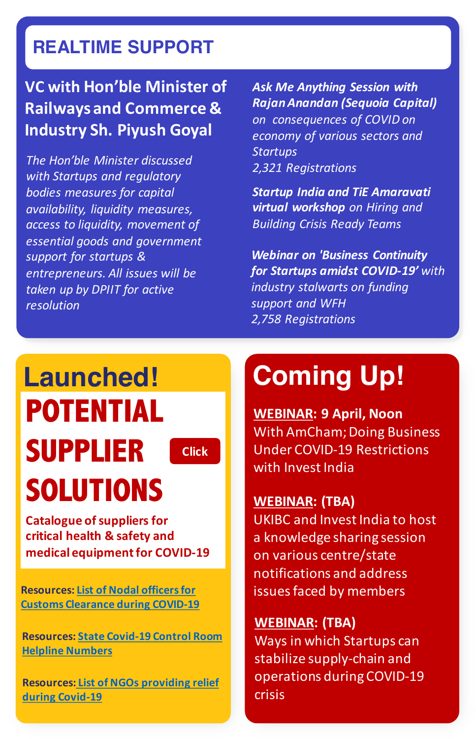## **REALTIME SUPPORT**

### **VC** with Hon'ble Minister of **Railways and Commerce & Industry Sh. Piyush Goyal**

*The Hon'ble Minister discussed* with Startups and regulatory *bodies measures for capital availability, liquidity measures, access to liquidity, movement of essential goods and government* support for startups & *entrepreneurs. All issues will be*  taken *up* by DPIIT for active *resolution*

**Ask Me Anything Session with** *RajanAnandan (Sequoia Capital) on consequences of COVID on*  economy of various sectors and *Startups 2,321 Registrations*

**Startup India and TiE Amaravati virtual workshop** on Hiring and *Building Crisis Ready Teams*

**Webinar on 'Business Continuity for Startups amidst COVID-19'** with *industry stalwarts on funding support and WFH 2,758 Registrations*

# **Launched! POTENTIAL SUPPLIER SOLUTIONS**

**[Click](https://www.investindia.gov.in/bip/suppliers-list)**

#### **Catalogue of suppliers for** critical health & safety and **medical equipment for COVID-19**

**Resources: List of Nodal officers for Customs Clearance during COVID-19** 

**Resources: State Covid-19 Control Room Helpline Numbers**

**Resources: List of NGOs providing relief during Covid-19**

## **Coming Up!**

**WEBINAR: 9 April, Noon** With AmCham; Doing Business Under COVID-19 Restrictions with Invest India

#### **WEBINAR: (TBA)**

UKIBC and Invest India to host a knowledge sharing session on various centre/state notifications and address issues faced by members

#### **WEBINAR: (TBA)**

Ways in which Startups can stabilize supply-chain and operations during COVID-19 crisis